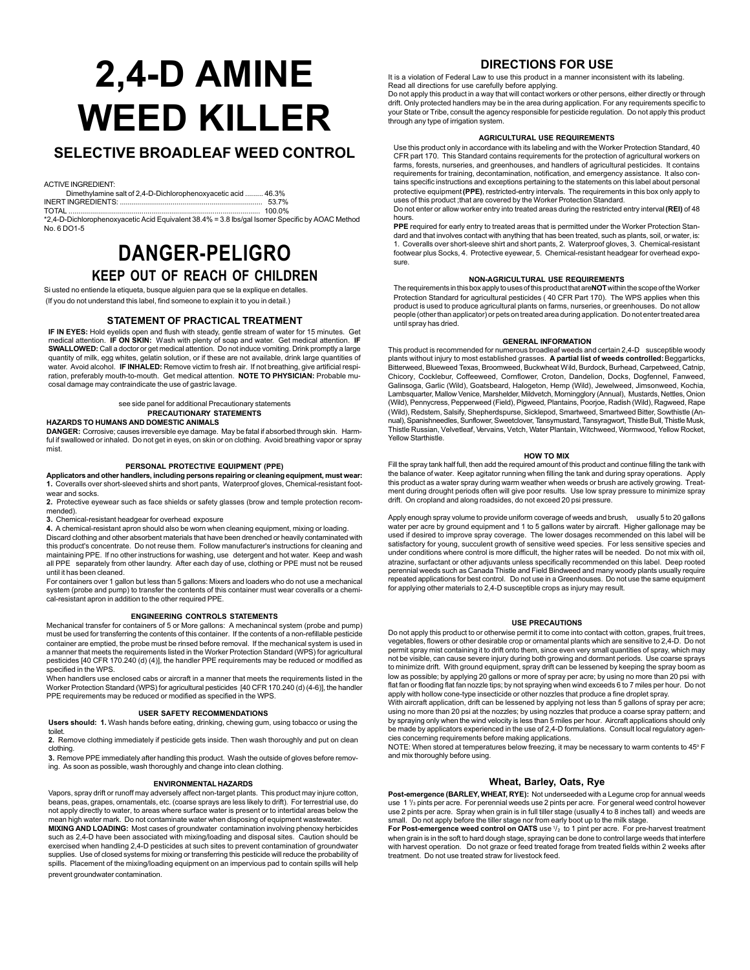# **2,4-D AMINE WEED KILLER**

# **SELECTIVE BROADLEAF WEED CONTROL**

ACTIVE INGREDIENT:

Dimethylamine salt of 2,4-D-Dichlorophenoxyacetic acid ......... 46.3% INERT INGREDIENTS: ......................................................................... 53.7%

TOTAL ................................................................................................. 100.0% \*2,4-D-Dichlorophenoxyacetic Acid Equivalent 38.4% = 3.8 lbs/gal Isomer Specific by AOAC Method No. 6 DO1-5

# **DANGER-PELIGRO KEEP OUT OF REACH OF CHILDREN**

Si usted no entiende la etiqueta, busque alguien para que se la explique en detalles. (If you do not understand this label, find someone to explain it to you in detail.)

#### **STATEMENT OF PRACTICAL TREATMENT**

**IF IN EYES:** Hold eyelids open and flush with steady, gentle stream of water for 15 minutes. Get medical attention. **IF ON SKIN:** Wash with plenty of soap and water. Get medical attention. **IF SWALLOWED:** Call a doctor or get medical attention. Do not induce vomiting. Drink promptly a large quantity of milk, egg whites, gelatin solution, or if these are not available, drink large quantities of water. Avoid alcohol. **IF INHALED:** Remove victim to fresh air. If not breathing, give artificial respiration, preferably mouth-to-mouth. Get medical attention. **NOTE TO PHYSICIAN:** Probable mucosal damage may contraindicate the use of gastric lavage.

# see side panel for additional Precautionary statements **PRECAUTIONARY STATEMENTS**

**HAZARDS TO HUMANS AND DOMESTIC ANIMALS**

**DANGER:** Corrosive; causes irreversible eye damage. May be fatal if absorbed through skin. Harm-ful if swallowed or inhaled. Do not get in eyes, on skin or on clothing. Avoid breathing vapor or spray mist.

#### **PERSONAL PROTECTIVE EQUIPMENT (PPE)**

**Applicators and other handlers, including persons repairing or cleaning equipment, must wear: 1.** Coveralls over short-sleeved shirts and short pants, Waterproof gloves, Chemical-resistant foot-

wear and socks. **2.** Protective eyewear such as face shields or safety glasses (brow and temple protection recommended).

**3.** Chemical-resistant headgear for overhead exposure

**4.** A chemical-resistant apron should also be worn when cleaning equipment, mixing or loading.

Discard clothing and other absorbent materials that have been drenched or heavily contaminated with this product's concentrate. Do not reuse them. Follow manufacturer's instructions for cleaning and maintaining PPE. If no other instructions for washing, use detergent and hot water. Keep and wash all PPE separately from other laundry. After each day of use, clothing or PPE must not be reused until it has been cleaned.

For containers over 1 gallon but less than 5 gallons: Mixers and loaders who do not use a mechanical system (probe and pump) to transfer the contents of this container must wear coveralls or a chemical-resistant apron in addition to the other required PPE.

#### **ENGINEERING CONTROLS STATEMENTS**

Mechanical transfer for containers of 5 or More gallons: A mechanincal system (probe and pump) must be used for transferring the contents of this container. If the contents of a non-refillable pesticide container are emptied, the probe must be rinsed before removal. If the mechanical system is used in a manner that meets the requirements listed in the Worker Protection Standard (WPS) for agricultural pesticides [40 CFR 170.240 (d) (4)], the handler PPE requirements may be reduced or modified as specified in the WPS.

When handlers use enclosed cabs or aircraft in a manner that meets the requirements listed in the Worker Protection Standard (WPS) for agricultural pesticides [40 CFR 170.240 (d) (4-6)], the handler PPE requirements may be reduced or modified as specified in the WPS.

#### **USER SAFETY RECOMMENDATIONS**

**Users should: 1.** Wash hands before eating, drinking, chewing gum, using tobacco or using the toilet.

**2.** Remove clothing immediately if pesticide gets inside. Then wash thoroughly and put on clean clothing.

**3.** Remove PPE immediately after handling this product. Wash the outside of gloves before removing. As soon as possible, wash thoroughly and change into clean clothing.

#### **ENVIRONMENTAL HAZARDS**

Vapors, spray drift or runoff may adversely affect non-target plants. This product may injure cotton, beans, peas, grapes, ornamentals, etc. (coarse sprays are less likely to drift). For terrestrial use, do not apply directly to water, to areas where surface water is present or to intertidal areas below the mean high water mark. Do not contaminate water when disposing of equipment wastewater. **MIXING AND LOADING:** Most cases of groundwater contamination involving phenoxy herbicides such as 2,4-D have been associated with mixing/loading and disposal sites. Caution should be exercised when handling 2,4-D pesticides at such sites to prevent contamination of groundwater supplies. Use of closed systems for mixing or transferring this pesticide will reduce the probability of spills. Placement of the mixing/loading equipment on an impervious pad to contain spills will help prevent groundwater contamination.

# **DIRECTIONS FOR USE**

It is a violation of Federal Law to use this product in a manner inconsistent with its labeling.

Read all directions for use carefully before applying. Do not apply this product in a way that will contact workers or other persons, either directly or through drift. Only protected handlers may be in the area during application. For any requirements specific to your State or Tribe, consult the agency responsible for pesticide regulation. Do not apply this product through any type of irrigation system.

#### **AGRICULTURAL USE REQUIREMENTS**

Use this product only in accordance with its labeling and with the Worker Protection Standard, 40 CFR part 170. This Standard contains requirements for the protection of agricultural workers on farms, forests, nurseries, and greenhouses, and handlers of agricultural pesticides. It contains requirements for training, decontamination, notification, and emergency assistance. It also con-tains specific instructions and exceptions pertaining to the statements on this label about personal protective equipment **(PPE)**, restricted-entry intervals. The requirements in this box only apply to uses of this product ;that are covered by the Worker Protection Standard.

Do not enter or allow worker entry into treated areas during the restricted entry interval **(REI)** of 48 hours.

**PPE** required for early entry to treated areas that is permitted under the Worker Protection Standard and that involves contact with anything that has been treated, such as plants, soil, or water, is: 1. Coveralls over short-sleeve shirt and short pants, 2. Waterproof gloves, 3. Chemical-resistant footwear plus Socks, 4. Protective eyewear, 5. Chemical-resistant headgear for overhead exposure.

## **NON-AGRICULTURAL USE REQUIREMENTS**

The requirements in this box apply to uses of this product that are **NOT** within the scope of the Worker Protection Standard for agricultural pesticides ( 40 CFR Part 170). The WPS applies when this product is used to produce agricultural plants on farms, nurseries, or greenhouses. Do not allow people (other than applicator) or pets on treated area during application. Do not enter treated area until spray has dried.

#### **GENERAL INFORMATION**

This product is recommended for numerous broadleaf weeds and certain 2,4-D susceptible woody plants without injury to most established grasses. **A partial list of weeds controlled:** Beggarticks, Bitterweed, Blueweed Texas, Broomweed, Buckwheat Wild, Burdock, Burhead, Carpetweed, Catnip, Chicory, Cocklebur, Coffeeweed, Cornflower, Croton, Dandelion, Docks, Dogfennel, Fanweed, Galinsoga, Garlic (Wild), Goatsbeard, Halogeton, Hemp (Wild), Jewelweed, Jimsonweed, Kochia, Lambsquarter, Mallow Venice, Marshelder, Mildvetch, Morningglory (Annual), Mustards, Nettles, Onion<br>(Wild), Pennycress, Pepperweed (Field), Pigweed, Plantains, Poorjoe, Radish (Wild), Ragweed, Rape<br>(Wild), Redstem, Salsif nual), Spanishneedles, Sunflower, Sweetclover, Tansymustard, Tansyragwort, Thistle Bull, Thistle Musk, Thistle Russian, Velvetleaf, Vervains, Vetch, Water Plantain, Witchweed, Wormwood, Yellow Rocket, Yellow Starthistle.

#### **HOW TO MIX**

Fill the spray tank half full, then add the required amount of this product and continue filling the tank with the balance of water. Keep agitator running when filling the tank and during spray operations. Apply this product as a water spray during warm weather when weeds or brush are actively growing. Treatment during drought periods often will give poor results. Use low spray pressure to minimize spray drift. On cropland and along roadsides, do not exceed 20 psi pressure.

Apply enough spray volume to provide uniform coverage of weeds and brush, usually 5 to 20 gallons  $\widetilde{r}$  per acre by ground equipment and 1 to 5 gallons water by aircraft. Higher gallonage may be used if desired to improve spray coverage. The lower dosages recommended on this label will be satisfactory for young, succulent growth of sensitive weed species. For less sensitive species and under conditions where control is more difficult, the higher rates will be needed. Do not mix with oil, atrazine, surfactant or other adjuvants unless specifically recommended on this label. Deep rooted perennial weeds such as Canada Thistle and Field Bindweed and many woody plants usually require repeated applications for best control. Do not use in a Greenhouses. Do not use the same equipment for applying other materials to 2,4-D susceptible crops as injury may result.

#### **USE PRECAUTIONS**

Do not apply this product to or otherwise permit it to come into contact with cotton, grapes, fruit trees, vegetables, flowers or other desirable crop or ornamental plants which are sensitive to 2,4-D. Do not permit spray mist containing it to drift onto them, since even very small quantities of spray, which may not be visible, can cause severe injury during both growing and dormant periods. Use coarse sprays to minimize drift. With ground equipment, spray drift can be lessened by keeping the spray boom as low as possible; by applying 20 gallons or more of spray per acre; by using no more than 20 psi with flat fan or flooding flat fan nozzle tips; by not spraying when wind exceeds 6 to 7 miles per hour. Do not

apply with hollow cone-type insecticide or other nozzles that produce a fine droplet spray.<br>With aircraft application, drift can be lessened by applying not less than 5 gallons of spray per acre;<br>using no more than 20 psi by spraying only when the wind velocity is less than 5 miles per hour. Aircraft applications should only be made by applicators experienced in the use of 2,4-D formulations. Consult local regulatory agen-

cies concerning requirements before making applications.<br>NOTE: When stored at temperatures below freezing, it may be necessary to warm contents to 45º F and mix thoroughly before using.

# **Wheat, Barley, Oats, Rye**

**Post-emergence (BARLEY, WHEAT, RYE):** Not underseeded with a Legume crop for annual weeds use 1 1/<sub>3</sub> pints per acre. For perennial weeds use 2 pints per acre. For general weed control however use 2 pints per acre. Spray when grain is in full tiller stage (usually 4 to 8 inches tall) and weeds are small. Do not apply before the tiller stage nor from early boot up to the milk stage.<br>**For Post-emergence weed control on OATS** use 1/<sub>2</sub> to 1 pint per acre. For pre-harvest treatment

when grain is in the soft to hard dough stage, spraying can be done to control large weeds that interfere with harvest operation. Do not graze or feed treated forage from treated fields within 2 weeks after treatment. Do not use treated straw for livestock feed.